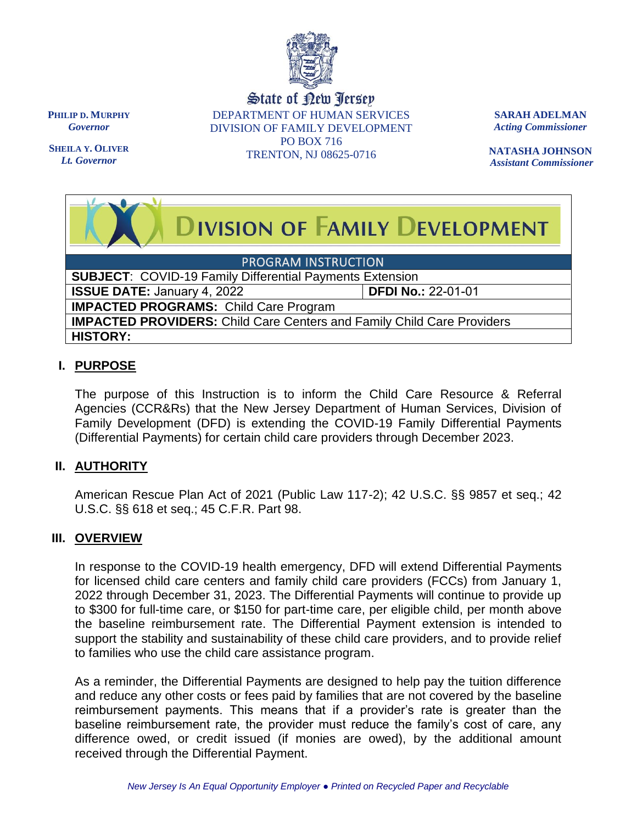

State of New Jersey DEPARTMENT OF HUMAN SERVICES DIVISION OF FAMILY DEVELOPMENT PO BOX 716 TRENTON, NJ 08625-0716

**SARAH ADELMAN** *Acting Commissioner*

**NATASHA JOHNSON** *Assistant Commissioner*

# **DIVISION OF FAMILY DEVELOPMENT**

PROGRAM INSTRUCTION

**SUBJECT**: COVID-19 Family Differential Payments Extension

**ISSUE DATE:** January 4, 2022 **DFDI No.:** 22-01-01

**IMPACTED PROGRAMS:** Child Care Program

**IMPACTED PROVIDERS:** Child Care Centers and Family Child Care Providers **HISTORY:** 

# **I. PURPOSE**

The purpose of this Instruction is to inform the Child Care Resource & Referral Agencies (CCR&Rs) that the New Jersey Department of Human Services, Division of Family Development (DFD) is extending the COVID-19 Family Differential Payments (Differential Payments) for certain child care providers through December 2023.

# **II. AUTHORITY**

American Rescue Plan Act of 2021 (Public Law 117-2); 42 U.S.C. §§ 9857 et seq.; 42 U.S.C. §§ 618 et seq.; 45 C.F.R. Part 98.

# **III. OVERVIEW**

In response to the COVID-19 health emergency, DFD will extend Differential Payments for licensed child care centers and family child care providers (FCCs) from January 1, 2022 through December 31, 2023. The Differential Payments will continue to provide up to \$300 for full-time care, or \$150 for part-time care, per eligible child, per month above the baseline reimbursement rate. The Differential Payment extension is intended to support the stability and sustainability of these child care providers, and to provide relief to families who use the child care assistance program.

As a reminder, the Differential Payments are designed to help pay the tuition difference and reduce any other costs or fees paid by families that are not covered by the baseline reimbursement payments. This means that if a provider's rate is greater than the baseline reimbursement rate, the provider must reduce the family's cost of care, any difference owed, or credit issued (if monies are owed), by the additional amount received through the Differential Payment.

**PHILIP D. MURPHY** *Governor*

**SHEILA Y. OLIVER** *Lt. Governor*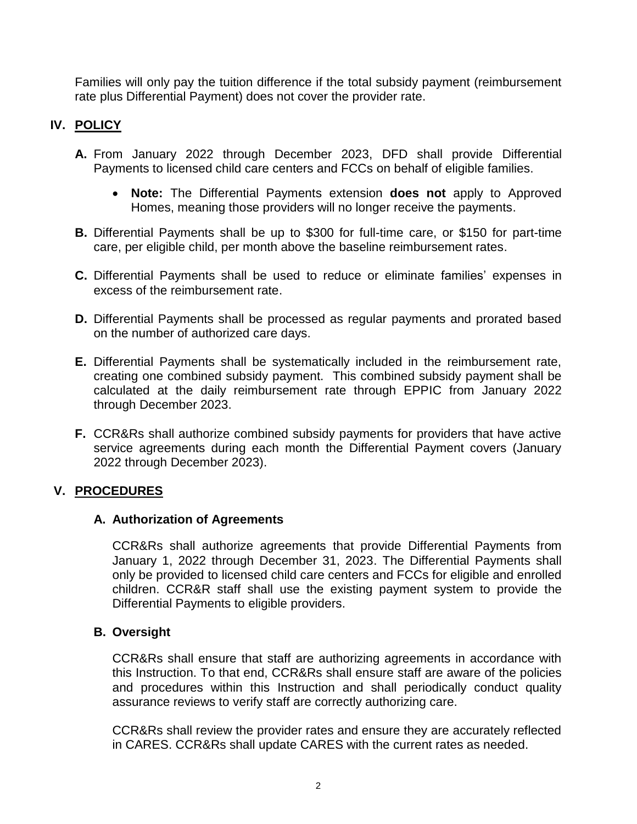Families will only pay the tuition difference if the total subsidy payment (reimbursement rate plus Differential Payment) does not cover the provider rate.

# **IV. POLICY**

- **A.** From January 2022 through December 2023, DFD shall provide Differential Payments to licensed child care centers and FCCs on behalf of eligible families.
	- **Note:** The Differential Payments extension **does not** apply to Approved Homes, meaning those providers will no longer receive the payments.
- **B.** Differential Payments shall be up to \$300 for full-time care, or \$150 for part-time care, per eligible child, per month above the baseline reimbursement rates.
- **C.** Differential Payments shall be used to reduce or eliminate families' expenses in excess of the reimbursement rate.
- **D.** Differential Payments shall be processed as regular payments and prorated based on the number of authorized care days.
- **E.** Differential Payments shall be systematically included in the reimbursement rate, creating one combined subsidy payment. This combined subsidy payment shall be calculated at the daily reimbursement rate through EPPIC from January 2022 through December 2023.
- **F.** CCR&Rs shall authorize combined subsidy payments for providers that have active service agreements during each month the Differential Payment covers (January 2022 through December 2023).

# **V. PROCEDURES**

#### **A. Authorization of Agreements**

CCR&Rs shall authorize agreements that provide Differential Payments from January 1, 2022 through December 31, 2023. The Differential Payments shall only be provided to licensed child care centers and FCCs for eligible and enrolled children. CCR&R staff shall use the existing payment system to provide the Differential Payments to eligible providers.

#### **B. Oversight**

CCR&Rs shall ensure that staff are authorizing agreements in accordance with this Instruction. To that end, CCR&Rs shall ensure staff are aware of the policies and procedures within this Instruction and shall periodically conduct quality assurance reviews to verify staff are correctly authorizing care.

CCR&Rs shall review the provider rates and ensure they are accurately reflected in CARES. CCR&Rs shall update CARES with the current rates as needed.